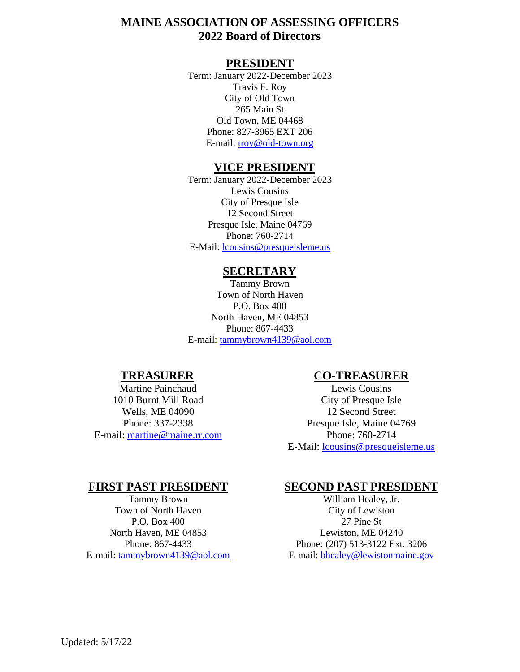# **MAINE ASSOCIATION OF ASSESSING OFFICERS 2022 Board of Directors**

#### **PRESIDENT**

Term: January 2022-December 2023 Travis F. Roy City of Old Town 265 Main St Old Town, ME 04468 Phone: 827-3965 EXT 206 E-mail: [troy@old-town.org](mailto:troy@old-town.org)

#### **VICE PRESIDENT**

Term: January 2022-December 2023 Lewis Cousins City of Presque Isle 12 Second Street Presque Isle, Maine 04769 Phone: 760-2714 E-Mail: [lcousins@presqueisleme.us](mailto:lcousins@presqueisleme.us)

#### **SECRETARY**

Tammy Brown Town of North Haven P.O. Box 400 North Haven, ME 04853 Phone: 867-4433 E-mail: [tammybrown4139@aol.com](mailto:tammybrown4139@aol.com)

# **TREASURER**

Martine Painchaud 1010 Burnt Mill Road Wells, ME 04090 Phone: 337-2338 E-mail: [martine@maine.rr.com](mailto:martine@maine.rr.com)

#### **CO-TREASURER**

Lewis Cousins City of Presque Isle 12 Second Street Presque Isle, Maine 04769 Phone: 760-2714 E-Mail: [lcousins@presqueisleme.us](mailto:lcousins@presqueisleme.us)

# **FIRST PAST PRESIDENT**

Tammy Brown Town of North Haven P.O. Box 400 North Haven, ME 04853 Phone: 867-4433 E-mail: [tammybrown4139@aol.com](mailto:tammybrown4139@aol.com)

#### **SECOND PAST PRESIDENT**

William Healey, Jr. City of Lewiston 27 Pine St Lewiston, ME 04240 Phone: (207) 513-3122 Ext. 3206 E-mail: [bhealey@lewistonmaine.gov](mailto:bhealey@lewistonmaine.gov)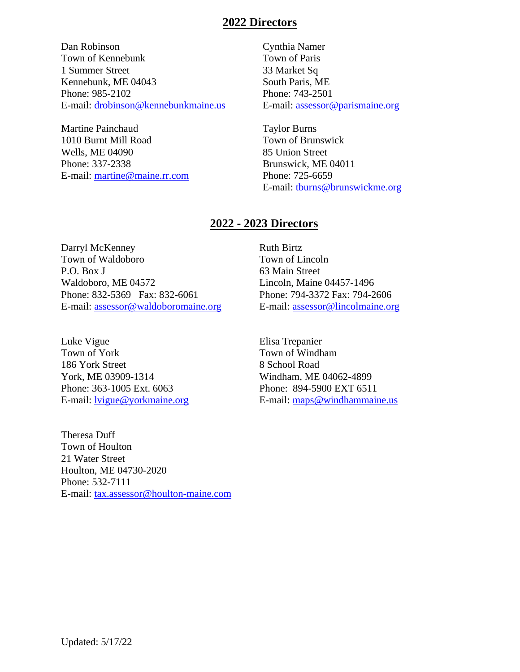#### **2022 Directors**

Dan Robinson Town of Kennebunk 1 Summer Street Kennebunk, ME 04043 Phone: 985-2102 E-mail: [drobinson@kennebunkmaine.us](mailto:drobinson@kennebunkmaine.us)

Martine Painchaud 1010 Burnt Mill Road Wells, ME 04090 Phone: 337-2338 E-mail: [martine@maine.rr.com](mailto:martine@maine.rr.com) Cynthia Namer Town of Paris 33 Market Sq South Paris, ME Phone: 743-2501 E-mail: [assessor@parismaine.org](mailto:assessor@parismaine.org)

Taylor Burns Town of Brunswick 85 Union Street Brunswick, ME 04011 Phone: 725-6659 E-mail: [tburns@brunswickme.org](cmd://Extended/SendEmail?&MasterCustomerId=000000215845&SubCustomerId=0&ToAddress=tburns@brunswickme.org)

# **2022 - 2023 Directors**

Darryl McKenney Town of Waldoboro P.O. Box J Waldoboro, ME 04572 Phone: 832-5369 Fax: 832-6061 E-mail: [assessor@waldoboromaine.org](mailto:assessor@waldoboromaine.org)

Luke Vigue Town of York 186 York Street York, ME 03909-1314 Phone: 363-1005 Ext. 6063 E-mail: [lvigue@yorkmaine.org](mailto:lvigue@yorkmaine.org)

Theresa Duff Town of Houlton 21 Water Street Houlton, ME 04730-2020 Phone: 532-7111 E-mail:<tax.assessor@houlton-maine.com> Ruth Birtz Town of Lincoln 63 Main Street Lincoln, Maine 04457-1496 Phone: 794-3372 Fax: 794-2606 E-mail: [assessor@lincolmaine.org](mailto:assessor@lincolmaine.org)

Elisa Trepanier Town of Windham 8 School Road Windham, ME 04062-4899 Phone: 894-5900 EXT 6511 E-mail:<maps@windhammaine.us>